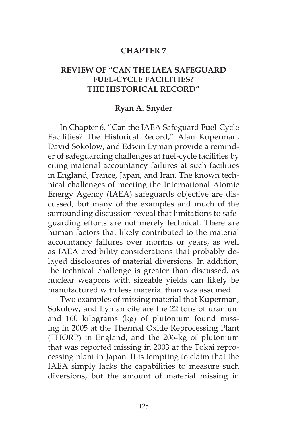## **CHAPTER 7**

## **REVIEW OF "CAN THE IAEA SAFEGUARD FUEL-CYCLE FACILITIES? THE HISTORICAL RECORD"**

## **Ryan A. Snyder**

In Chapter 6, "Can the IAEA Safeguard Fuel-Cycle Facilities? The Historical Record," Alan Kuperman, David Sokolow, and Edwin Lyman provide a reminder of safeguarding challenges at fuel-cycle facilities by citing material accountancy failures at such facilities in England, France, Japan, and Iran. The known technical challenges of meeting the International Atomic Energy Agency (IAEA) safeguards objective are discussed, but many of the examples and much of the surrounding discussion reveal that limitations to safeguarding efforts are not merely technical. There are human factors that likely contributed to the material accountancy failures over months or years, as well as IAEA credibility considerations that probably delayed disclosures of material diversions. In addition, the technical challenge is greater than discussed, as nuclear weapons with sizeable yields can likely be manufactured with less material than was assumed.

Two examples of missing material that Kuperman, Sokolow, and Lyman cite are the 22 tons of uranium and 160 kilograms (kg) of plutonium found missing in 2005 at the Thermal Oxide Reprocessing Plant (THORP) in England, and the 206-kg of plutonium that was reported missing in 2003 at the Tokai reprocessing plant in Japan. It is tempting to claim that the IAEA simply lacks the capabilities to measure such diversions, but the amount of material missing in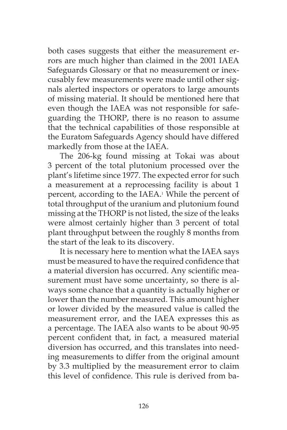both cases suggests that either the measurement errors are much higher than claimed in the 2001 IAEA Safeguards Glossary or that no measurement or inexcusably few measurements were made until other signals alerted inspectors or operators to large amounts of missing material. It should be mentioned here that even though the IAEA was not responsible for safeguarding the THORP, there is no reason to assume that the technical capabilities of those responsible at the Euratom Safeguards Agency should have differed markedly from those at the IAEA.

The 206-kg found missing at Tokai was about 3 percent of the total plutonium processed over the plant's lifetime since 1977. The expected error for such a measurement at a reprocessing facility is about 1 percent, according to the IAEA.<sup>1</sup> While the percent of total throughput of the uranium and plutonium found missing at the THORP is not listed, the size of the leaks were almost certainly higher than 3 percent of total plant throughput between the roughly 8 months from the start of the leak to its discovery.

It is necessary here to mention what the IAEA says must be measured to have the required confidence that a material diversion has occurred. Any scientific measurement must have some uncertainty, so there is always some chance that a quantity is actually higher or lower than the number measured. This amount higher or lower divided by the measured value is called the measurement error, and the IAEA expresses this as a percentage. The IAEA also wants to be about 90-95 percent confident that, in fact, a measured material diversion has occurred, and this translates into needing measurements to differ from the original amount by 3.3 multiplied by the measurement error to claim this level of confidence. This rule is derived from ba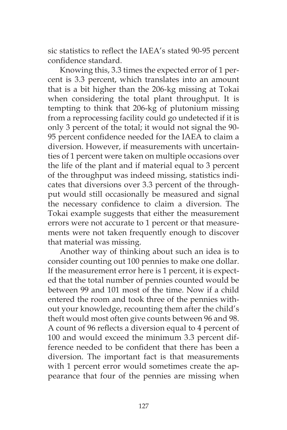sic statistics to reflect the IAEA's stated 90-95 percent confidence standard.

Knowing this, 3.3 times the expected error of 1 percent is 3.3 percent, which translates into an amount that is a bit higher than the 206-kg missing at Tokai when considering the total plant throughput. It is tempting to think that 206-kg of plutonium missing from a reprocessing facility could go undetected if it is only 3 percent of the total; it would not signal the 90- 95 percent confidence needed for the IAEA to claim a diversion. However, if measurements with uncertainties of 1 percent were taken on multiple occasions over the life of the plant and if material equal to 3 percent of the throughput was indeed missing, statistics indicates that diversions over 3.3 percent of the throughput would still occasionally be measured and signal the necessary confidence to claim a diversion. The Tokai example suggests that either the measurement errors were not accurate to 1 percent or that measurements were not taken frequently enough to discover that material was missing.

Another way of thinking about such an idea is to consider counting out 100 pennies to make one dollar. If the measurement error here is 1 percent, it is expected that the total number of pennies counted would be between 99 and 101 most of the time. Now if a child entered the room and took three of the pennies without your knowledge, recounting them after the child's theft would most often give counts between 96 and 98. A count of 96 reflects a diversion equal to 4 percent of 100 and would exceed the minimum 3.3 percent difference needed to be confident that there has been a diversion. The important fact is that measurements with 1 percent error would sometimes create the appearance that four of the pennies are missing when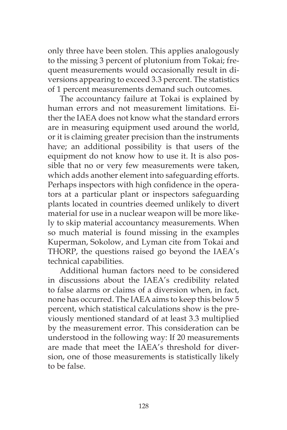only three have been stolen. This applies analogously to the missing 3 percent of plutonium from Tokai; frequent measurements would occasionally result in diversions appearing to exceed 3.3 percent. The statistics of 1 percent measurements demand such outcomes.

The accountancy failure at Tokai is explained by human errors and not measurement limitations. Either the IAEA does not know what the standard errors are in measuring equipment used around the world, or it is claiming greater precision than the instruments have; an additional possibility is that users of the equipment do not know how to use it. It is also possible that no or very few measurements were taken, which adds another element into safeguarding efforts. Perhaps inspectors with high confidence in the operators at a particular plant or inspectors safeguarding plants located in countries deemed unlikely to divert material for use in a nuclear weapon will be more likely to skip material accountancy measurements. When so much material is found missing in the examples Kuperman, Sokolow, and Lyman cite from Tokai and THORP, the questions raised go beyond the IAEA's technical capabilities.

Additional human factors need to be considered in discussions about the IAEA's credibility related to false alarms or claims of a diversion when, in fact, none has occurred. The IAEA aims to keep this below 5 percent, which statistical calculations show is the previously mentioned standard of at least 3.3 multiplied by the measurement error. This consideration can be understood in the following way: If 20 measurements are made that meet the IAEA's threshold for diversion, one of those measurements is statistically likely to be false.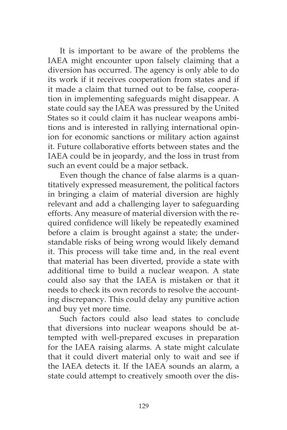It is important to be aware of the problems the IAEA might encounter upon falsely claiming that a diversion has occurred. The agency is only able to do its work if it receives cooperation from states and if it made a claim that turned out to be false, cooperation in implementing safeguards might disappear. A state could say the IAEA was pressured by the United States so it could claim it has nuclear weapons ambitions and is interested in rallying international opinion for economic sanctions or military action against it. Future collaborative efforts between states and the IAEA could be in jeopardy, and the loss in trust from such an event could be a major setback.

Even though the chance of false alarms is a quantitatively expressed measurement, the political factors in bringing a claim of material diversion are highly relevant and add a challenging layer to safeguarding efforts. Any measure of material diversion with the required confidence will likely be repeatedly examined before a claim is brought against a state; the understandable risks of being wrong would likely demand it. This process will take time and, in the real event that material has been diverted, provide a state with additional time to build a nuclear weapon. A state could also say that the IAEA is mistaken or that it needs to check its own records to resolve the accounting discrepancy. This could delay any punitive action and buy yet more time.

Such factors could also lead states to conclude that diversions into nuclear weapons should be attempted with well-prepared excuses in preparation for the IAEA raising alarms. A state might calculate that it could divert material only to wait and see if the IAEA detects it. If the IAEA sounds an alarm, a state could attempt to creatively smooth over the dis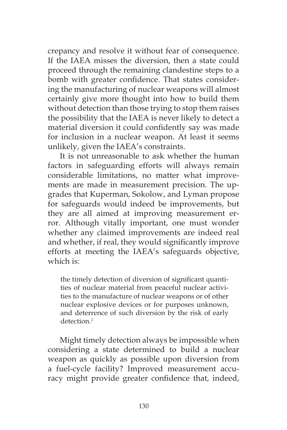crepancy and resolve it without fear of consequence. If the IAEA misses the diversion, then a state could proceed through the remaining clandestine steps to a bomb with greater confidence. That states considering the manufacturing of nuclear weapons will almost certainly give more thought into how to build them without detection than those trying to stop them raises the possibility that the IAEA is never likely to detect a material diversion it could confidently say was made for inclusion in a nuclear weapon. At least it seems unlikely, given the IAEA's constraints.

It is not unreasonable to ask whether the human factors in safeguarding efforts will always remain considerable limitations, no matter what improvements are made in measurement precision. The upgrades that Kuperman, Sokolow, and Lyman propose for safeguards would indeed be improvements, but they are all aimed at improving measurement error. Although vitally important, one must wonder whether any claimed improvements are indeed real and whether, if real, they would significantly improve efforts at meeting the IAEA's safeguards objective, which is:

the timely detection of diversion of significant quantities of nuclear material from peaceful nuclear activities to the manufacture of nuclear weapons or of other nuclear explosive devices or for purposes unknown, and deterrence of such diversion by the risk of early detection.<sup>2</sup>

Might timely detection always be impossible when considering a state determined to build a nuclear weapon as quickly as possible upon diversion from a fuel-cycle facility? Improved measurement accuracy might provide greater confidence that, indeed,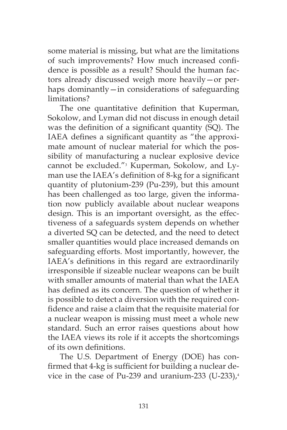some material is missing, but what are the limitations of such improvements? How much increased confidence is possible as a result? Should the human factors already discussed weigh more heavily—or perhaps dominantly—in considerations of safeguarding limitations?

The one quantitative definition that Kuperman, Sokolow, and Lyman did not discuss in enough detail was the definition of a significant quantity (SQ). The IAEA defines a significant quantity as "the approximate amount of nuclear material for which the possibility of manufacturing a nuclear explosive device cannot be excluded."<sup>3</sup> Kuperman, Sokolow, and Lyman use the IAEA's definition of 8-kg for a significant quantity of plutonium-239 (Pu-239), but this amount has been challenged as too large, given the information now publicly available about nuclear weapons design. This is an important oversight, as the effectiveness of a safeguards system depends on whether a diverted SQ can be detected, and the need to detect smaller quantities would place increased demands on safeguarding efforts. Most importantly, however, the IAEA's definitions in this regard are extraordinarily irresponsible if sizeable nuclear weapons can be built with smaller amounts of material than what the IAEA has defined as its concern. The question of whether it is possible to detect a diversion with the required confidence and raise a claim that the requisite material for a nuclear weapon is missing must meet a whole new standard. Such an error raises questions about how the IAEA views its role if it accepts the shortcomings of its own definitions.

The U.S. Department of Energy (DOE) has confirmed that 4-kg is sufficient for building a nuclear device in the case of Pu-239 and uranium-233 (U-233), $4$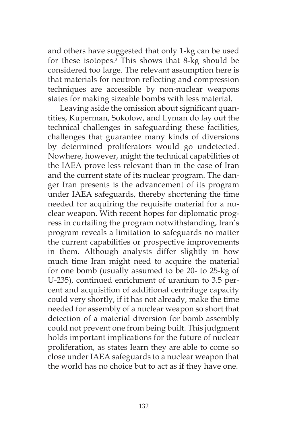and others have suggested that only 1-kg can be used for these isotopes.<sup>5</sup> This shows that 8-kg should be considered too large. The relevant assumption here is that materials for neutron reflecting and compression techniques are accessible by non-nuclear weapons states for making sizeable bombs with less material.

Leaving aside the omission about significant quantities, Kuperman, Sokolow, and Lyman do lay out the technical challenges in safeguarding these facilities, challenges that guarantee many kinds of diversions by determined proliferators would go undetected. Nowhere, however, might the technical capabilities of the IAEA prove less relevant than in the case of Iran and the current state of its nuclear program. The danger Iran presents is the advancement of its program under IAEA safeguards, thereby shortening the time needed for acquiring the requisite material for a nuclear weapon. With recent hopes for diplomatic progress in curtailing the program notwithstanding, Iran's program reveals a limitation to safeguards no matter the current capabilities or prospective improvements in them. Although analysts differ slightly in how much time Iran might need to acquire the material for one bomb (usually assumed to be 20- to 25-kg of U-235), continued enrichment of uranium to 3.5 percent and acquisition of additional centrifuge capacity could very shortly, if it has not already, make the time needed for assembly of a nuclear weapon so short that detection of a material diversion for bomb assembly could not prevent one from being built. This judgment holds important implications for the future of nuclear proliferation, as states learn they are able to come so close under IAEA safeguards to a nuclear weapon that the world has no choice but to act as if they have one.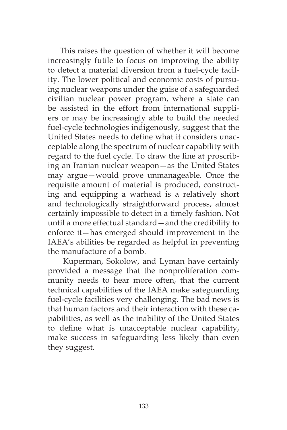This raises the question of whether it will become increasingly futile to focus on improving the ability to detect a material diversion from a fuel-cycle facility. The lower political and economic costs of pursuing nuclear weapons under the guise of a safeguarded civilian nuclear power program, where a state can be assisted in the effort from international suppliers or may be increasingly able to build the needed fuel-cycle technologies indigenously, suggest that the United States needs to define what it considers unacceptable along the spectrum of nuclear capability with regard to the fuel cycle. To draw the line at proscribing an Iranian nuclear weapon—as the United States may argue—would prove unmanageable. Once the requisite amount of material is produced, constructing and equipping a warhead is a relatively short and technologically straightforward process, almost certainly impossible to detect in a timely fashion. Not until a more effectual standard—and the credibility to enforce it—has emerged should improvement in the IAEA's abilities be regarded as helpful in preventing the manufacture of a bomb.

 Kuperman, Sokolow, and Lyman have certainly provided a message that the nonproliferation community needs to hear more often, that the current technical capabilities of the IAEA make safeguarding fuel-cycle facilities very challenging. The bad news is that human factors and their interaction with these capabilities, as well as the inability of the United States to define what is unacceptable nuclear capability, make success in safeguarding less likely than even they suggest.